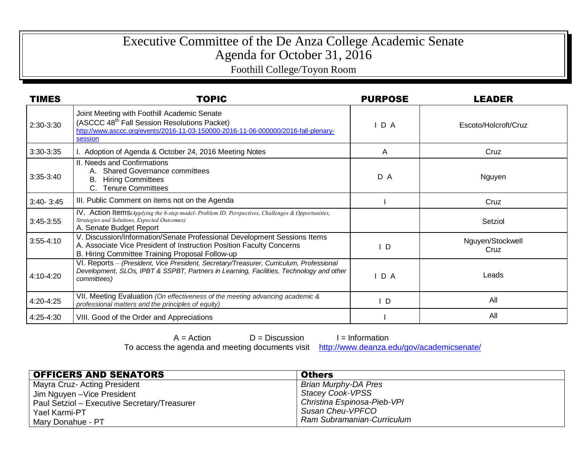## Executive Committee of the De Anza College Academic Senate Agenda for October 31, 2016

Foothill College/Toyon Room

| <b>TIMES</b>  | <b>TOPIC</b>                                                                                                                                                                                             | <b>PURPOSE</b> | LEADER                   |
|---------------|----------------------------------------------------------------------------------------------------------------------------------------------------------------------------------------------------------|----------------|--------------------------|
| 2:30-3:30     | Joint Meeting with Foothill Academic Senate<br>(ASCCC 48 <sup>th</sup> Fall Session Resolutions Packet)<br>http://www.asccc.org/events/2016-11-03-150000-2016-11-06-000000/2016-fall-plenary-<br>session | IDA            | Escoto/Holcroft/Cruz     |
| 3:30-3:35     | I. Adoption of Agenda & October 24, 2016 Meeting Notes                                                                                                                                                   | Α              | Cruz                     |
| $3:35-3:40$   | II. Needs and Confirmations<br><b>Shared Governance committees</b><br>А.<br>В.<br><b>Hiring Committees</b><br>C. Tenure Committees                                                                       | D A            | Nguyen                   |
| $3:40 - 3:45$ | III. Public Comment on items not on the Agenda                                                                                                                                                           |                | Cruz                     |
| $3:45-3:55$   | <b>IV.</b> Action Items(Applying the 6-step model-Problem ID, Perspectives, Challenges & Opportunities,<br>Strategies and Solutions, Expected Outcomes)<br>A. Senate Budget Report                       |                | Setziol                  |
| $3:55 - 4:10$ | V. Discussion/Information/Senate Professional Development Sessions Items<br>A. Associate Vice President of Instruction Position Faculty Concerns<br>B. Hiring Committee Training Proposal Follow-up      | D              | Nguyen/Stockwell<br>Cruz |
| 4:10-4:20     | VI. Reports - (President, Vice President, Secretary/Treasurer, Curriculum, Professional<br>Development, SLOs, IPBT & SSPBT, Partners in Learning, Facilities, Technology and other<br>committees)        | IDA            | Leads                    |
| 4:20-4:25     | VII. Meeting Evaluation (On effectiveness of the meeting advancing academic &<br>professional matters and the principles of equity)                                                                      | ID             | All                      |
| 4:25-4:30     | VIII. Good of the Order and Appreciations                                                                                                                                                                |                | All                      |

 $A = Action$   $D = Discussion$  I = Information

To access the agenda and meeting documents visit <http://www.deanza.edu/gov/academicsenate/>

| <b>OFFICERS AND SENATORS</b>                 | <b>Others</b>               |
|----------------------------------------------|-----------------------------|
| Mayra Cruz- Acting President                 | Brian Murphy-DA Pres        |
| Jim Nguyen - Vice President                  | Stacey Cook-VPSS            |
| Paul Setziol - Executive Secretary/Treasurer | Christina Espinosa-Pieb-VPI |
| Yael Karmi-PT                                | Susan Cheu-VPFCO            |
| Mary Donahue - PT                            | Ram Subramanian-Curriculum  |